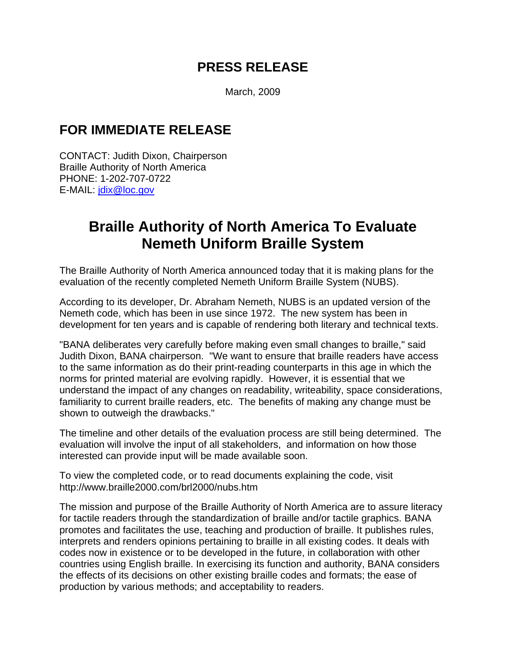## **PRESS RELEASE**

March, 2009

## **FOR IMMEDIATE RELEASE**

CONTACT: Judith Dixon, Chairperson Braille Authority of North America PHONE: 1-202-707-0722 E-MAIL: jdix@loc.gov

## **Braille Authority of North America To Evaluate Nemeth Uniform Braille System**

The Braille Authority of North America announced today that it is making plans for the evaluation of the recently completed Nemeth Uniform Braille System (NUBS).

According to its developer, Dr. Abraham Nemeth, NUBS is an updated version of the Nemeth code, which has been in use since 1972. The new system has been in development for ten years and is capable of rendering both literary and technical texts.

"BANA deliberates very carefully before making even small changes to braille," said Judith Dixon, BANA chairperson. "We want to ensure that braille readers have access to the same information as do their print-reading counterparts in this age in which the norms for printed material are evolving rapidly. However, it is essential that we understand the impact of any changes on readability, writeability, space considerations, familiarity to current braille readers, etc. The benefits of making any change must be shown to outweigh the drawbacks."

The timeline and other details of the evaluation process are still being determined. The evaluation will involve the input of all stakeholders, and information on how those interested can provide input will be made available soon.

To view the completed code, or to read documents explaining the code, visit http://www.braille2000.com/brl2000/nubs.htm

The mission and purpose of the Braille Authority of North America are to assure literacy for tactile readers through the standardization of braille and/or tactile graphics. BANA promotes and facilitates the use, teaching and production of braille. It publishes rules, interprets and renders opinions pertaining to braille in all existing codes. It deals with codes now in existence or to be developed in the future, in collaboration with other countries using English braille. In exercising its function and authority, BANA considers the effects of its decisions on other existing braille codes and formats; the ease of production by various methods; and acceptability to readers.